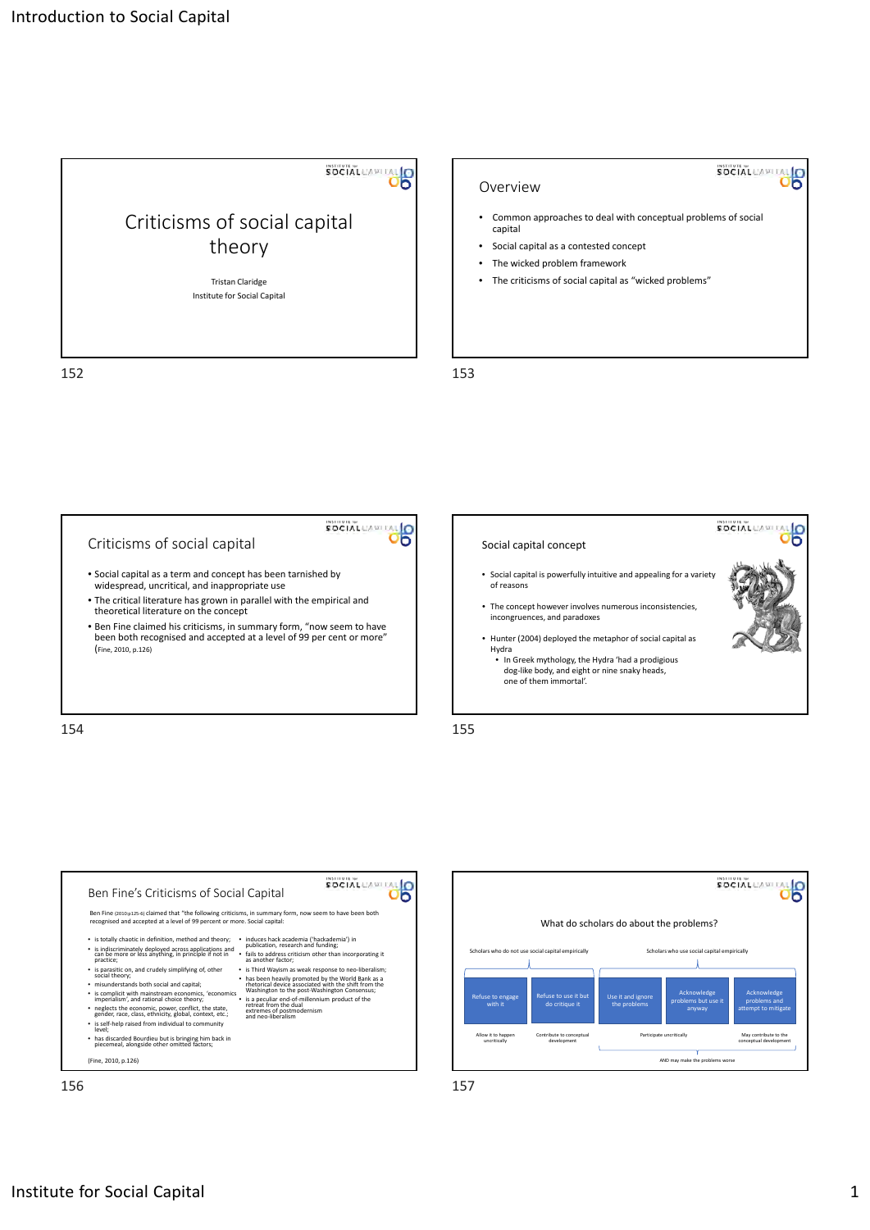

## Overview

# SOCIAL CAPITAL

- Common approaches to deal with conceptual problems of social capital
- Social capital as a contested concept
- The wicked problem framework
- The criticisms of social capital as "wicked problems"









Institute for Social Capital 1 and 2008 1 and 2008 1 and 2008 1 and 2008 1 and 2008 1 and 2008 1 and 2008 1 and 2008 1 and 2008 1 and 2008 1 and 2008 1 and 2008 1 and 2008 1 and 2008 1 and 2008 1 and 2008 1 and 2008 1 and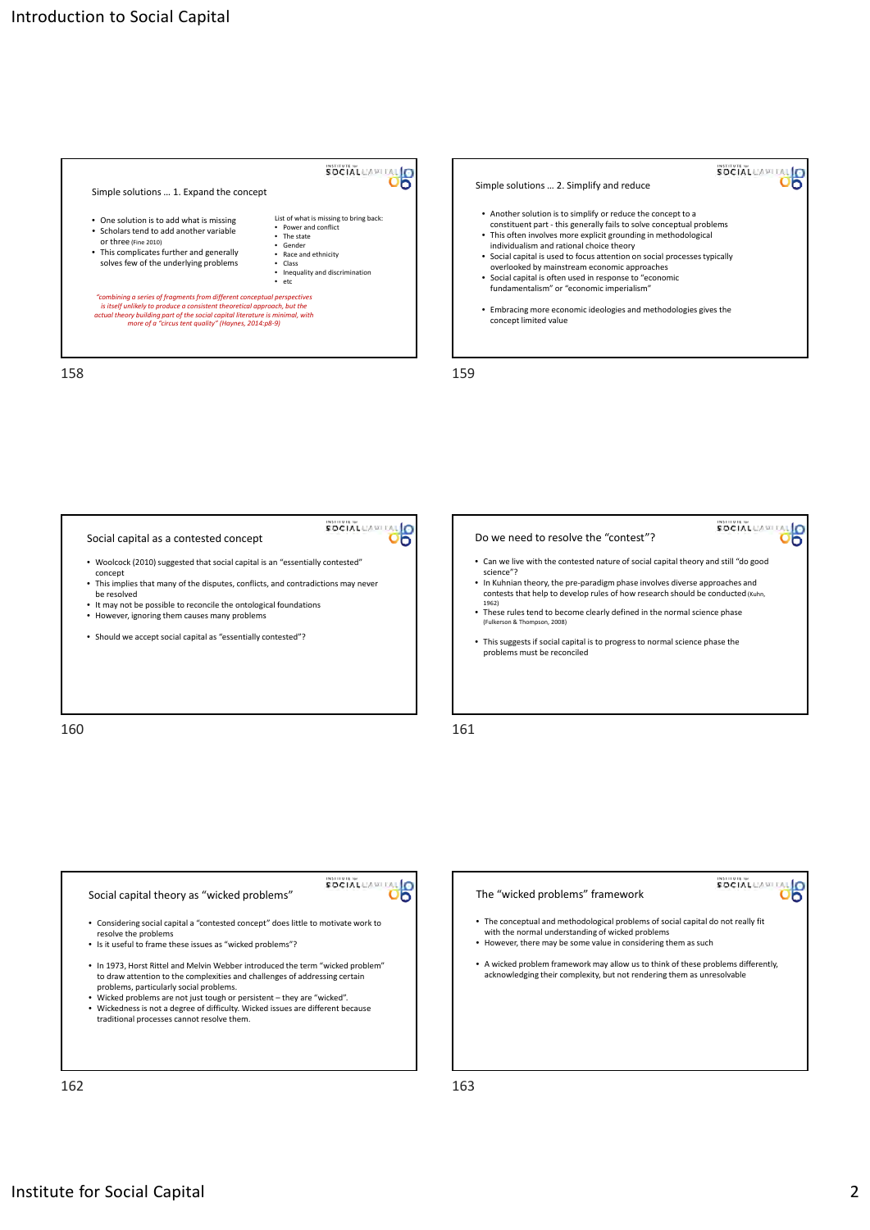



concept



SOCIAL CAPITAL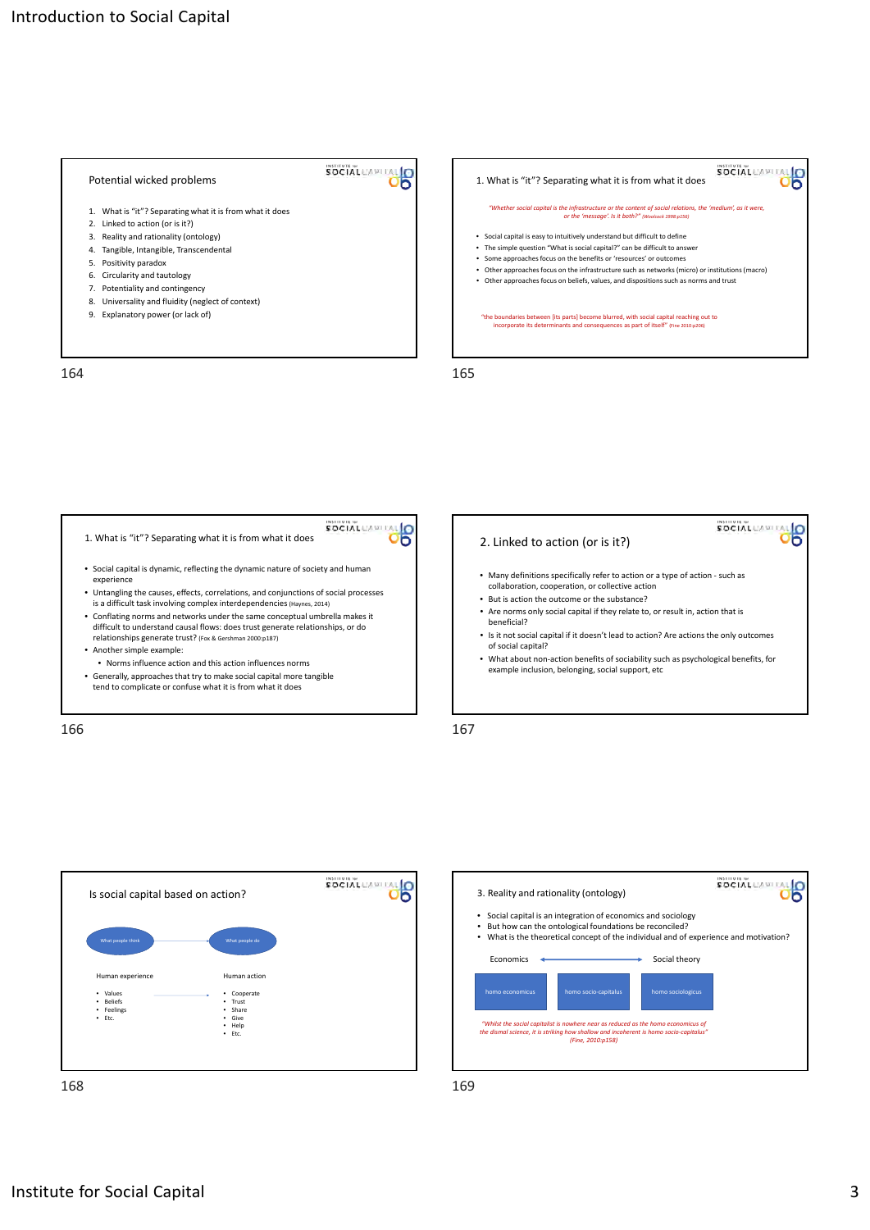







166 167









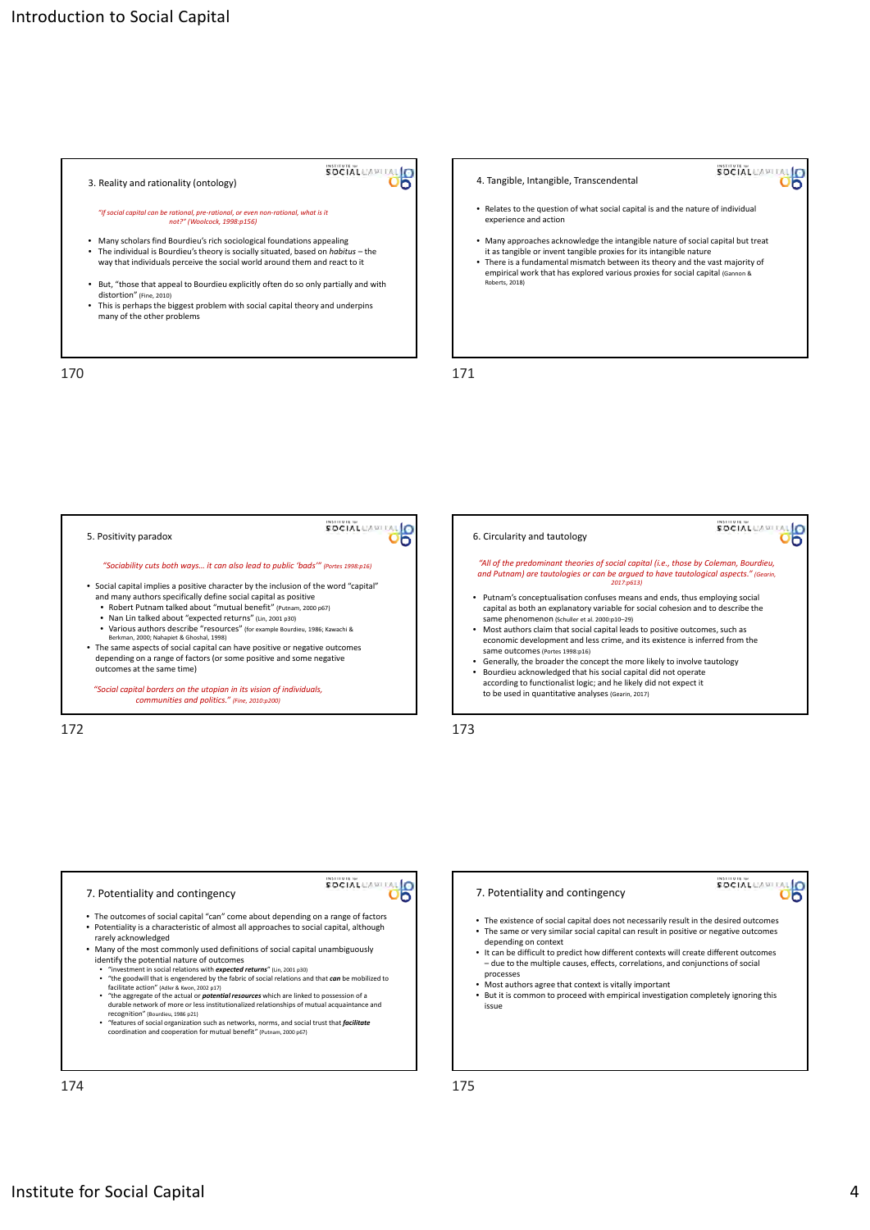



# SOCIAL CAPITAL

#### *"Sociability cuts both ways… it can also lead to public 'bads'" (Portes 1998:p16)*

• Social capital implies a positive character by the inclusion of the word "capital" and many authors specifically define social capital as positive • Robert Putnam talked about "mutual benefit" (Putnam, 2000 p67)

- Nan Lin talked about "expected returns" (Lin, 2001 p30)
- Various authors describe "resources" (for example Bourdieu, 1986; Kawachi & Berkman, 2000; Nahapiet & Ghoshal, 1998)
- The same aspects of social capital can have positive or negative outcomes depending on a range of factors (or some positive and some negative outcomes at the same time)

*"Social capital borders on the utopian in its vision of individuals, communities and politics." (Fine, 2010:p200)*





SOCIALCAPITA

#### 7. Potentiality and contingency

- **SOCIAL**CAPITA **CR**
- The existence of social capital does not necessarily result in the desired outcomes • The same or very similar social capital can result in positive or negative outcomes
- It can be difficult to predict how different contexts will create different outcomes due to the multiple causes, effects, correlations, and conjunctions of social
- Most authors agree that context is vitally important
- But it is common to proceed with empirical investigation completely ignoring this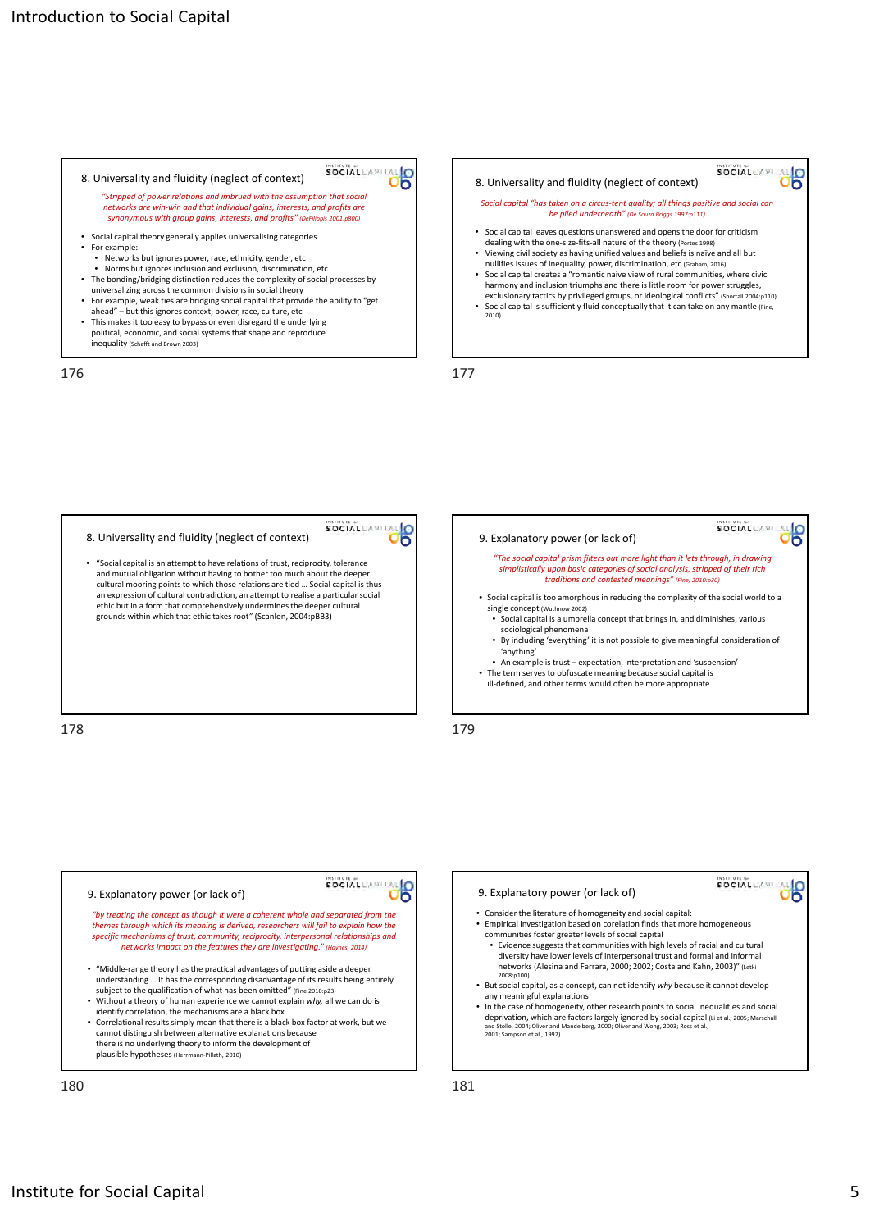

- For example, weak ties are bridging social capital that provide the ability to "get ahead" – but this ignores context, power, race, culture, etc
- This makes it too easy to bypass or even disregard the underlying political, economic, and social systems that shape and reproduce inequality (Schafft and Brown 2003)

176 177



• Empirical investigation based on corelation finds that more homogeneous

• Evidence suggests that communities with high levels of racial and cultural diversity have lower levels of interpersonal trust and formal and informal networks (Alesina and Ferrara, 2000; 2002; Costa and Kahn, 2003)" (Letki

• But social capital, as a concept, can not identify *why* because it cannot develop

• In the case of homogeneity, other research points to social inequalities and social deprivation, which are factors largely ignored by social capital (Li et al., 2005; Marschal<br>and Stolle, 2004; Oliver and Mandelberg, 2000; Oliver and Wong, 2003; Ross et al.,<br>2001; Sampson et al., 1997)

communities foster greater levels of social capital

2008:p100)

any meaningful explanations



*"by treating the concept as though it were a coherent whole and separated from the themes through which its meaning is derived, researchers will fail to explain how the specific mechanisms of trust, community, reciprocity, interpersonal relationships and networks impact on the features they are investigating." (Haynes, 2014)*

- "Middle‐range theory has the practical advantages of putting aside a deeper understanding … It has the corresponding disadvantage of its results being entirely subject to the qualification of what has been omitted" (Fine 2010:p23) • Without a theory of human experience we cannot explain *why,* all we can do is
- identify correlation, the mechanisms are a black box • Correlational results simply mean that there is a black box factor at work, but we
- cannot distinguish between alternative explanations because there is no underlying theory to inform the development of plausible hypotheses (Herrmann‐Pillath, 2010)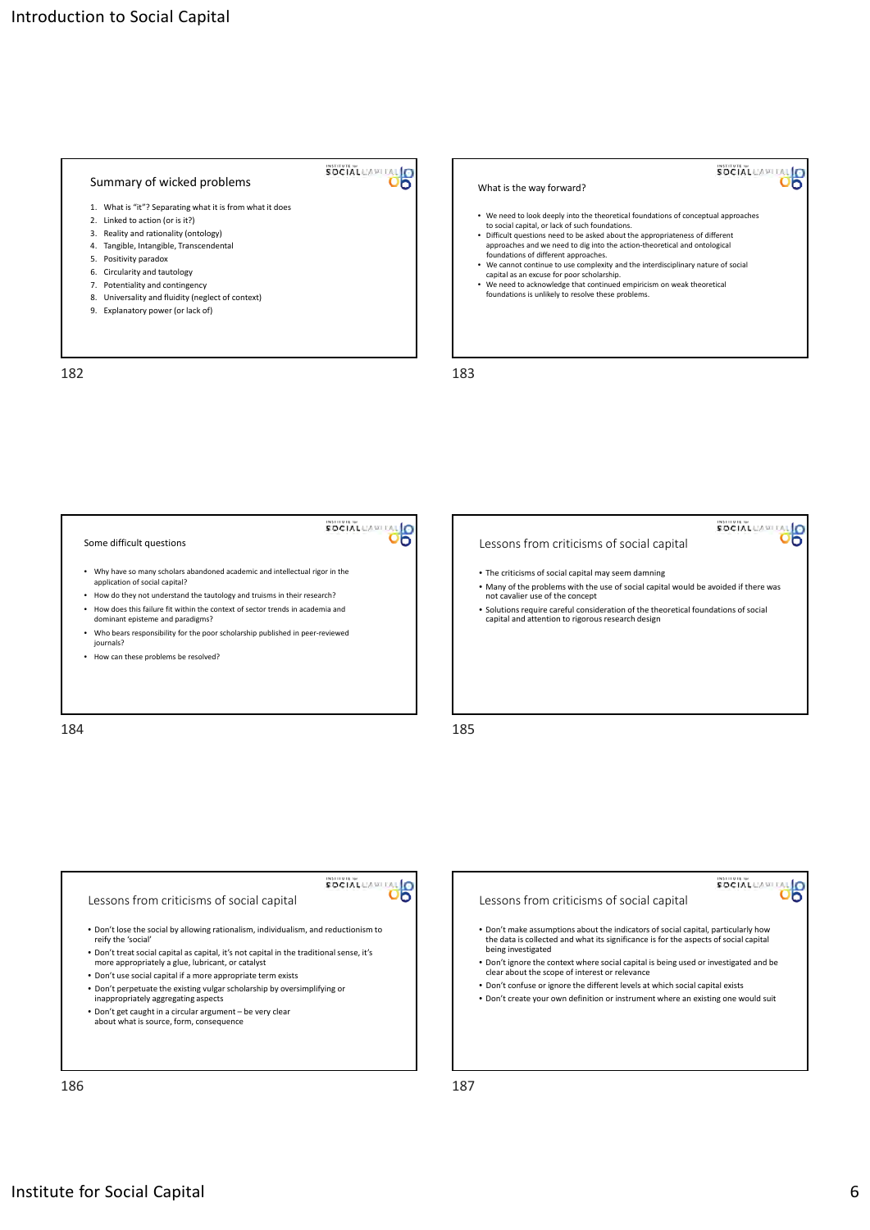### Summary of wicked problems

- 1. What is "it"? Separating what it is from what it does
- 2. Linked to action (or is it?)
- 3. Reality and rationality (ontology)
- 4. Tangible, Intangible, Transcendental
- 5. Positivity paradox
- 6. Circularity and tautology
- 7. Potentiality and contingency
- 8. Universality and fluidity (neglect of context)
- 9. Explanatory power (or lack of)

SOCIAL CAPITAL • We need to look deeply into the theoretical foundations of conceptual approaches to social capital, or lack of such foundations.

• Difficult questions need to be asked about the appropriateness of different approaches and we need to dig into the action‐theoretical and ontological foundations of different approaches.

What is the way forward?

- We cannot continue to use complexity and the interdisciplinary nature of social capital as an excuse for poor scholarship. • We need to acknowledge that continued empiricism on weak theoretical
- foundations is unlikely to resolve these problems.

182 183



SOCIAL CAPITAL O

184 185



186 187